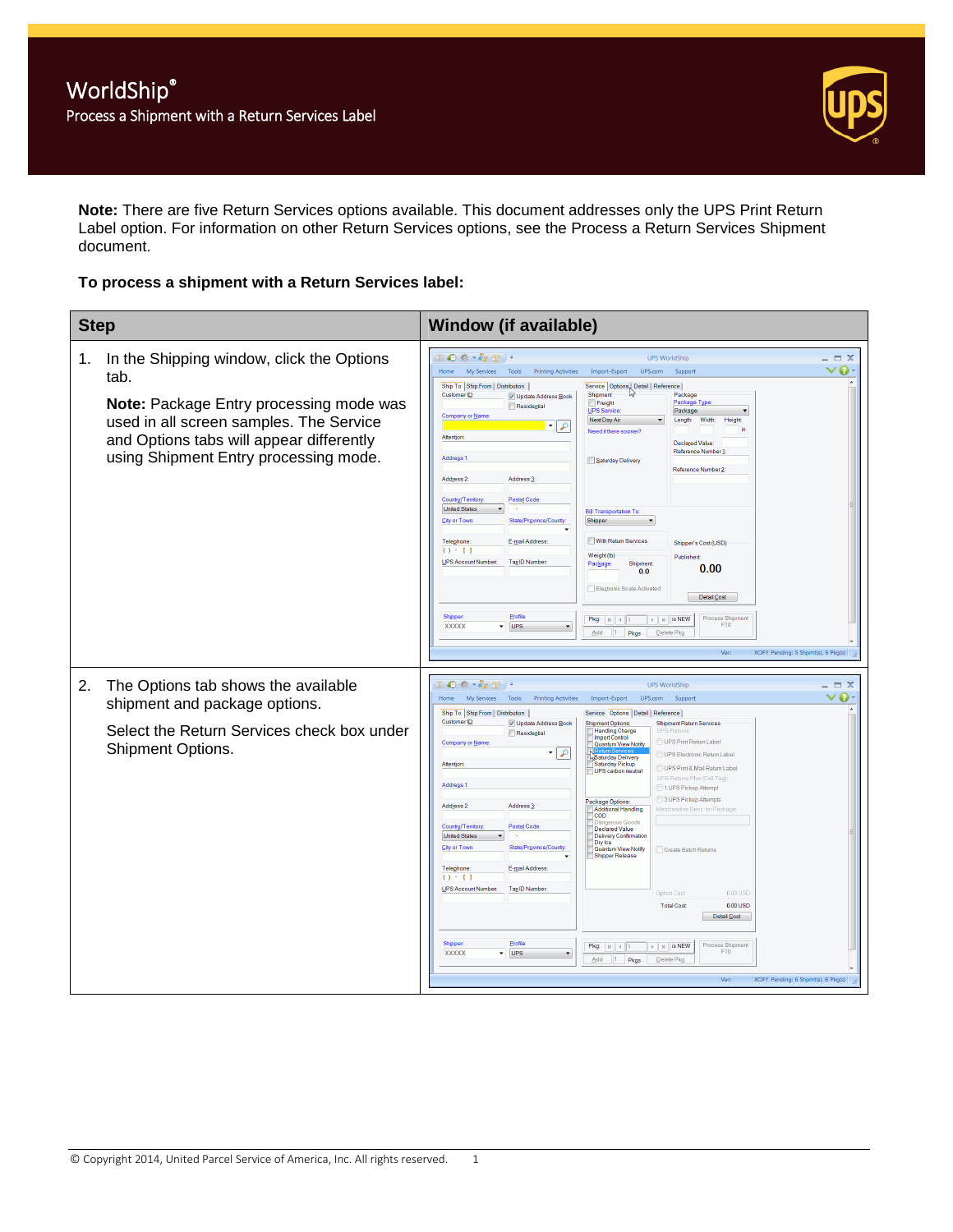

**Note:** There are five Return Services options available. This document addresses only the UPS Print Return Label option. For information on other Return Services options, see the Process a Return Services Shipment document.

## **To process a shipment with a Return Services label:**

| <b>Step</b> |                                                                                                                                                                                                                              | <b>Window (if available)</b> |                                                                                                                                                                                                                                                                                                                                                                                                                                                                                                                                                                                                                               |                                                                                                                                                                                                                                                                                                                                                                                                                                                                        |                                                                                                                                                                                                                                                                                                                                                                                                                                                                                            |                                                             |
|-------------|------------------------------------------------------------------------------------------------------------------------------------------------------------------------------------------------------------------------------|------------------------------|-------------------------------------------------------------------------------------------------------------------------------------------------------------------------------------------------------------------------------------------------------------------------------------------------------------------------------------------------------------------------------------------------------------------------------------------------------------------------------------------------------------------------------------------------------------------------------------------------------------------------------|------------------------------------------------------------------------------------------------------------------------------------------------------------------------------------------------------------------------------------------------------------------------------------------------------------------------------------------------------------------------------------------------------------------------------------------------------------------------|--------------------------------------------------------------------------------------------------------------------------------------------------------------------------------------------------------------------------------------------------------------------------------------------------------------------------------------------------------------------------------------------------------------------------------------------------------------------------------------------|-------------------------------------------------------------|
| 1.          | In the Shipping window, click the Options<br>tab.<br>Note: Package Entry processing mode was<br>used in all screen samples. The Service<br>and Options tabs will appear differently<br>using Shipment Entry processing mode. |                              | $\mathbb{L} \bigodot \psi \cdot \psi_2 \oplus \cdots$<br>My Services<br>Tools<br><b>Printing Activities</b><br>Home<br>Ship To Ship From Distribution<br>Customer ID:<br>V Update Address Book<br>Residential<br>Company or Name:<br>▾<br>$\mathcal{L}$<br>Attention:<br>Address <sub>1</sub><br>Address 2:<br>Address <sub>3</sub><br>Country/Territory<br>Postal Code<br><b>United States</b><br>City or Town<br>State/Province/Count<br>Telephone:<br>E-mail Address:<br>$() - 1$<br>UPS Account Number<br>Tax ID Number:<br>Profile<br>Shipper<br>UPS<br><b>XXXXX</b><br>$\overline{\phantom{a}}$<br>$\blacktriangledown$ | Import-Export<br>UPS.com<br>Service Options, Detail Reference<br>Shipment<br>Freight<br><b>UPS Service</b><br>Next Day Air<br>Need it there sooner?<br>Saturday Delivery<br><b>Bill Transportation To</b><br>Shipper<br>With Return Services<br>Weight (lb)<br>Package<br>Shipment<br>0.0<br>Electronic Scale Activated<br>Pkg:<br>$N \times$<br>Add<br>$\vert$ 1<br>Pkgs                                                                                              | <b>UPS WorldShip</b><br>Support<br>Package<br>Package Type<br>Package<br>Width:<br>Height<br>Length:<br>in<br>Declared Value:<br>Reference Number 1<br>Reference Number 2<br>Shipper's Cost (USD)<br>Published:<br>0.00<br>Detail Cost<br>Process Shipment<br>$\triangleright$   $\parallel$ H   is NEW<br>F10<br>Delete Pkg<br>Ver:                                                                                                                                                       | $\bm{\vee}\bm{O}$<br>XOFY Pending: 5 Shpmt(s), 5 Pkg(s)     |
| 2.          | The Options tab shows the available<br>shipment and package options.<br>Select the Return Services check box under<br>Shipment Options.                                                                                      |                              | ●春·秋雪)<br>My Services<br>Home<br>Tools<br><b>Printing Activities</b><br>Ship To Ship From Distribution<br>Customer ID:<br>V Update Address Book<br>Residential<br>Company or Name<br>0 ا ∙<br><b>Attention</b><br>Address <sub>1</sub><br>Address 3:<br>Address 2:<br>Country/Territory<br>Postal Code<br><b>United States</b><br>City or Town<br>State/Province/County<br>Telephone<br>E-mail Address<br>$() - [ ]$<br>UPS Account Number<br>Tax ID Number:<br>Profile<br>Shipper<br>UPS<br><b>XXXXX</b><br>$\overline{\phantom{a}}$<br>$\overline{\phantom{a}}$                                                             | Import-Export<br>UPS.com<br>Service Options Detail Reference<br><b>Shipment Options</b><br><b>Handling Charge</b><br><b>Import Control</b><br>Quantum View Notify<br><b>ASaturday Delivery</b><br>Saturday Pickup<br><b>UPS</b> carbon neutral<br>Package Options:<br>Additional Handling<br><b>COD</b><br>s Goods<br><b>Declared Value</b><br>Delivery Confirmatio<br>Dry Ice<br>Quantum View Notify<br>Shipper Release<br>Pkg: $ k $ 4 1<br>Add<br>$\vert$ 1<br>Pkgs | <b>UPS WorldShip</b><br>Support<br><b>Shipment Return Services</b><br>UPS Return<br>UPS Print Return Label<br>UPS Electronic Return Label<br>UPS Print & Mail Return Label<br>UPS Returns Plus (Call Tac)<br>1 UPS Pickup Attempt<br>3 UPS Pickup Attempts<br>Merchandise Desc. for Package<br>Create Batch Returns<br>0.00 USD<br>Ontion Cost<br><b>Total Cost</b><br>0.00 USD<br>Detail Cost<br>Process Shipment<br>$\triangleright$   $\parallel$   is NEW<br>F10<br>Delete Pkg<br>Ver: | $ \Box$ $\times$<br>o<br>XOFY Pending: 6 Shpmt(s), 6 Pkg(s) |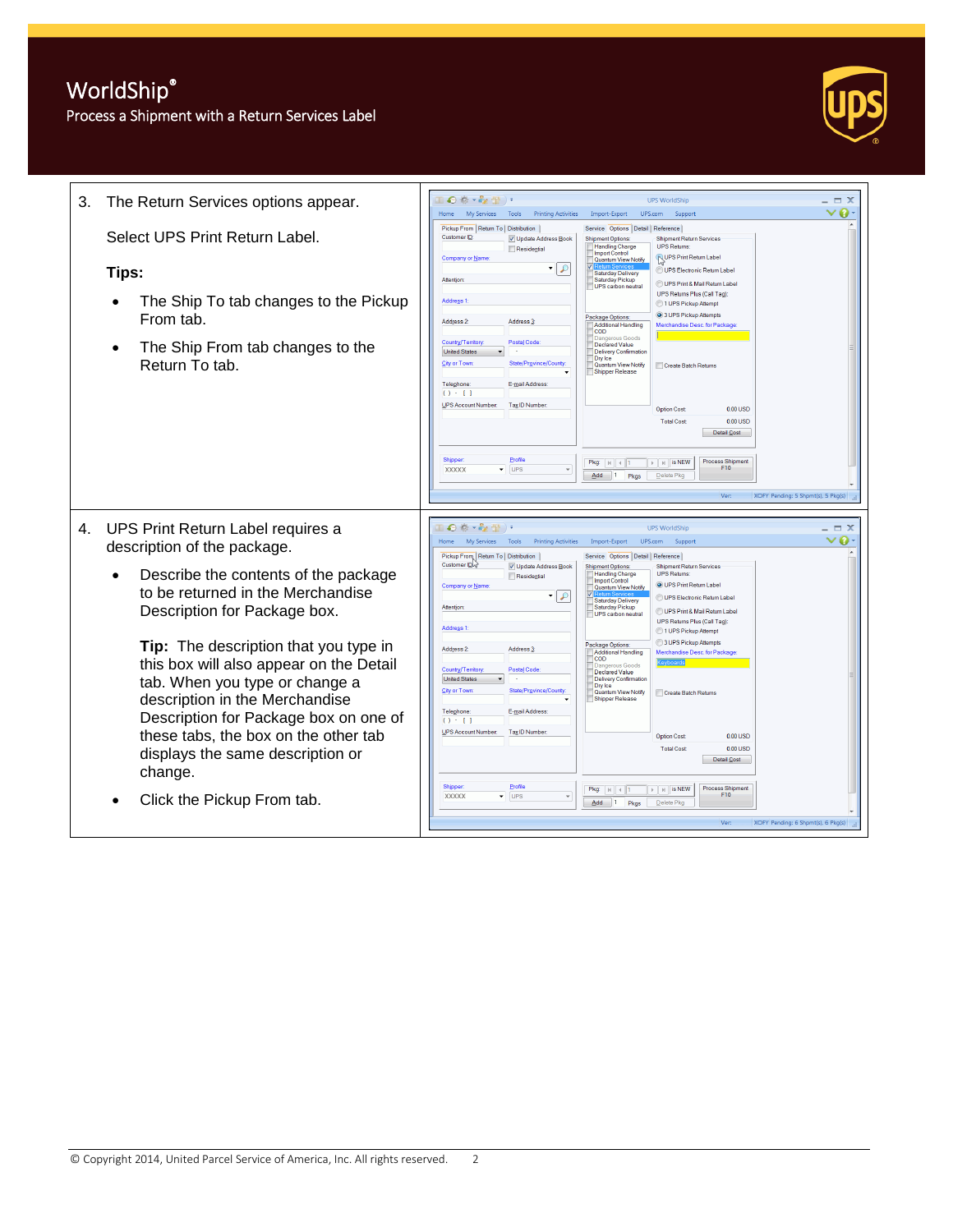Process a Shipment with a Return Services Label



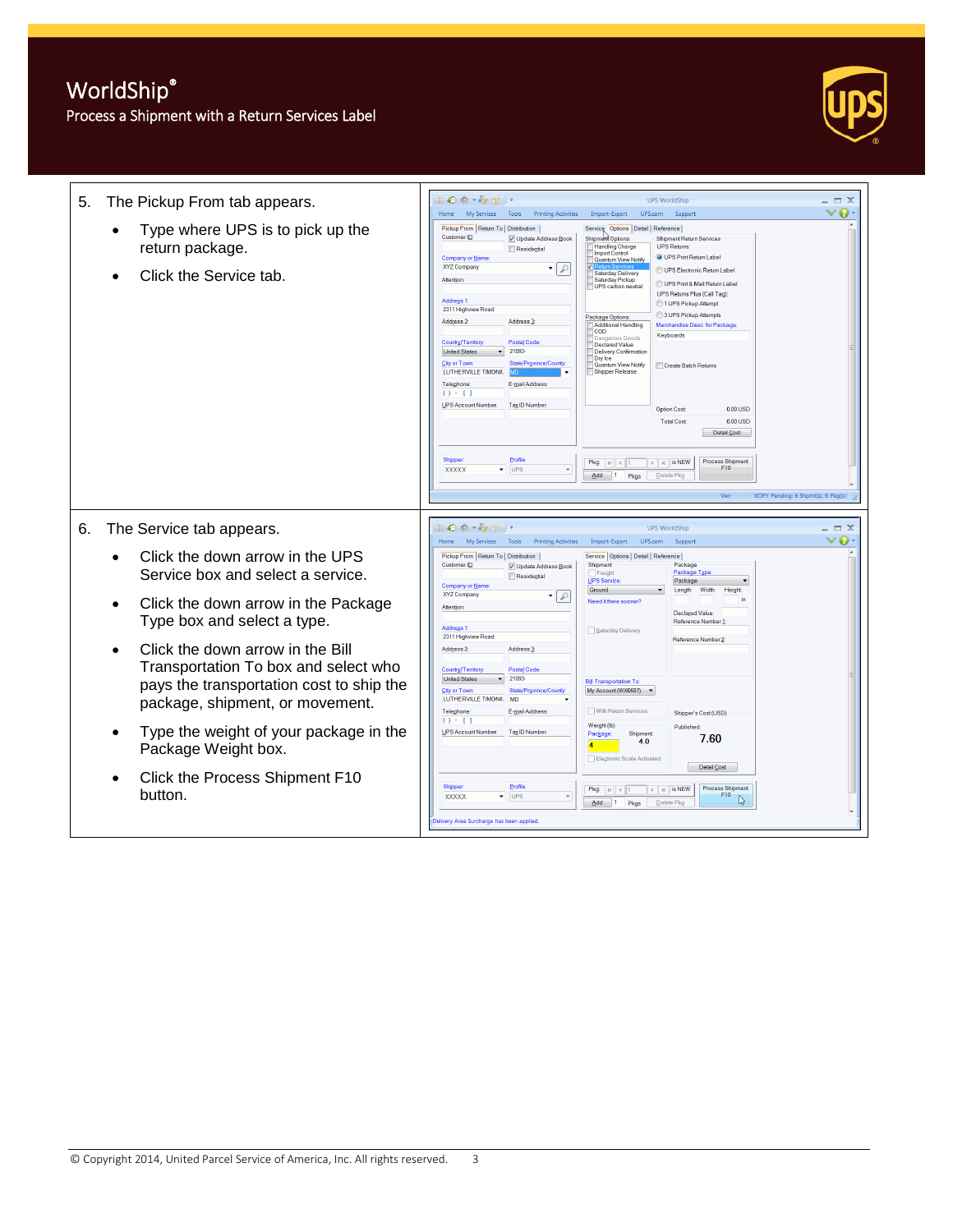Process a Shipment with a Return Services Label